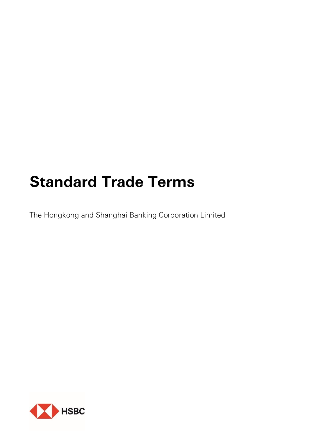# **Standard Trade Terms**

The Hongkong and Shanghai Banking Corporation Limited

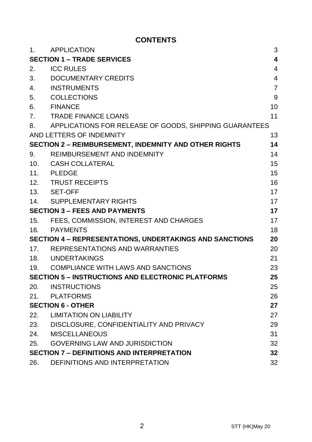# **CONTENTS**

| 1.                                                                   | <b>APPLICATION</b>                                           | 3              |
|----------------------------------------------------------------------|--------------------------------------------------------------|----------------|
| 4<br><b>SECTION 1 - TRADE SERVICES</b>                               |                                                              |                |
| 2.                                                                   | <b>ICC RULES</b>                                             | 4              |
| 3.                                                                   | DOCUMENTARY CREDITS                                          | $\overline{4}$ |
| 4.                                                                   | <b>INSTRUMENTS</b>                                           | $\overline{7}$ |
| 5.                                                                   | <b>COLLECTIONS</b>                                           | 9              |
| 6.                                                                   | <b>FINANCE</b>                                               | 10             |
| 7.                                                                   | TRADE FINANCE LOANS                                          | 11             |
| 8.                                                                   | APPLICATIONS FOR RELEASE OF GOODS, SHIPPING GUARANTEES       |                |
|                                                                      | AND LETTERS OF INDEMNITY                                     | 13             |
|                                                                      | <b>SECTION 2 - REIMBURSEMENT, INDEMNITY AND OTHER RIGHTS</b> | 14             |
| 9.                                                                   | REIMBURSEMENT AND INDEMNITY                                  | 14             |
| 10.                                                                  | CASH COLLATERAL                                              | 15             |
|                                                                      | 11. PLEDGE                                                   | 15             |
|                                                                      | 12. TRUST RECEIPTS                                           | 16             |
|                                                                      | 13. SET-OFF                                                  | 17             |
|                                                                      | 14. SUPPLEMENTARY RIGHTS                                     | 17             |
| <b>SECTION 3 - FEES AND PAYMENTS</b>                                 |                                                              | 17             |
| 15.                                                                  | FEES, COMMISSION, INTEREST AND CHARGES                       | 17             |
| 16.                                                                  | <b>PAYMENTS</b>                                              | 18             |
| <b>SECTION 4 - REPRESENTATIONS, UNDERTAKINGS AND SANCTIONS</b><br>20 |                                                              |                |
| 17.                                                                  | REPRESENTATIONS AND WARRANTIES                               | 20             |
|                                                                      | 18. UNDERTAKINGS                                             | 21             |
|                                                                      | 19. COMPLIANCE WITH LAWS AND SANCTIONS                       | 23             |
| <b>SECTION 5 - INSTRUCTIONS AND ELECTRONIC PLATFORMS</b><br>25       |                                                              |                |
| 20.                                                                  | <b>INSTRUCTIONS</b>                                          | 25             |
| 21.                                                                  | PLATFORMS                                                    | 26             |
| <b>SECTION 6 - OTHER</b>                                             |                                                              | 27             |
|                                                                      | 22. LIMITATION ON LIABILITY                                  | 27             |
|                                                                      | 23. DISCLOSURE, CONFIDENTIALITY AND PRIVACY                  | 29             |
| 24.                                                                  | <b>MISCELLANEOUS</b>                                         | 31             |
| 25.                                                                  | <b>GOVERNING LAW AND JURISDICTION</b>                        | 32             |
|                                                                      | <b>SECTION 7 - DEFINITIONS AND INTERPRETATION</b><br>32      |                |
| 26.                                                                  | DEFINITIONS AND INTERPRETATION                               | 32             |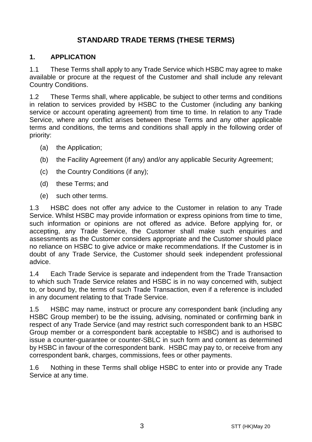# **STANDARD TRADE TERMS (THESE TERMS)**

#### **1. APPLICATION**

1.1 These Terms shall apply to any Trade Service which HSBC may agree to make available or procure at the request of the Customer and shall include any relevant Country Conditions.

1.2 These Terms shall, where applicable, be subject to other terms and conditions in relation to services provided by HSBC to the Customer (including any banking service or account operating agreement) from time to time. In relation to any Trade Service, where any conflict arises between these Terms and any other applicable terms and conditions, the terms and conditions shall apply in the following order of priority:

- (a) the Application;
- (b) the Facility Agreement (if any) and/or any applicable Security Agreement;
- (c) the Country Conditions (if any);
- (d) these Terms; and
- (e) such other terms.

1.3 HSBC does not offer any advice to the Customer in relation to any Trade Service. Whilst HSBC may provide information or express opinions from time to time, such information or opinions are not offered as advice. Before applying for, or accepting, any Trade Service, the Customer shall make such enquiries and assessments as the Customer considers appropriate and the Customer should place no reliance on HSBC to give advice or make recommendations. If the Customer is in doubt of any Trade Service, the Customer should seek independent professional advice.

1.4 Each Trade Service is separate and independent from the Trade Transaction to which such Trade Service relates and HSBC is in no way concerned with, subject to, or bound by, the terms of such Trade Transaction, even if a reference is included in any document relating to that Trade Service.

1.5 HSBC may name, instruct or procure any correspondent bank (including any HSBC Group member) to be the issuing, advising, nominated or confirming bank in respect of any Trade Service (and may restrict such correspondent bank to an HSBC Group member or a correspondent bank acceptable to HSBC) and is authorised to issue a counter-guarantee or counter-SBLC in such form and content as determined by HSBC in favour of the correspondent bank. HSBC may pay to, or receive from any correspondent bank, charges, commissions, fees or other payments.

1.6 Nothing in these Terms shall oblige HSBC to enter into or provide any Trade Service at any time.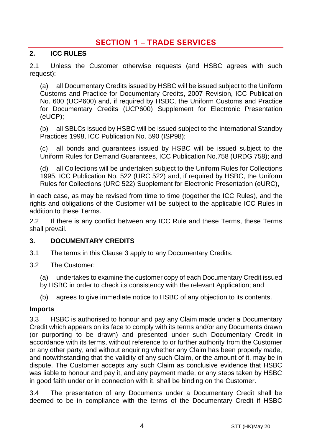# **SECTION 1 - TRADE SERVICES**

## **2. ICC RULES**

2.1 Unless the Customer otherwise requests (and HSBC agrees with such request):

(a) all Documentary Credits issued by HSBC will be issued subject to the Uniform Customs and Practice for Documentary Credits, 2007 Revision, ICC Publication No. 600 (UCP600) and, if required by HSBC, the Uniform Customs and Practice for Documentary Credits (UCP600) Supplement for Electronic Presentation (eUCP);

(b) all SBLCs issued by HSBC will be issued subject to the International Standby Practices 1998, ICC Publication No. 590 (ISP98);

(c) all bonds and guarantees issued by HSBC will be issued subject to the Uniform Rules for Demand Guarantees, ICC Publication No.758 (URDG 758); and

(d) all Collections will be undertaken subject to the Uniform Rules for Collections 1995, ICC Publication No. 522 (URC 522) and, if required by HSBC, the Uniform Rules for Collections (URC 522) Supplement for Electronic Presentation (eURC),

in each case, as may be revised from time to time (together the ICC Rules), and the rights and obligations of the Customer will be subject to the applicable ICC Rules in addition to these Terms.

2.2 If there is any conflict between any ICC Rule and these Terms, these Terms shall prevail.

#### <span id="page-3-0"></span>**3. DOCUMENTARY CREDITS**

- 3.1 The terms in this Claus[e 3](#page-3-0) apply to any Documentary Credits.
- 3.2 The Customer:
	- (a) undertakes to examine the customer copy of each Documentary Credit issued
	- by HSBC in order to check its consistency with the relevant Application; and
	- (b) agrees to give immediate notice to HSBC of any objection to its contents.

#### **Imports**

3.3 HSBC is authorised to honour and pay any Claim made under a Documentary Credit which appears on its face to comply with its terms and/or any Documents drawn (or purporting to be drawn) and presented under such Documentary Credit in accordance with its terms, without reference to or further authority from the Customer or any other party, and without enquiring whether any Claim has been properly made, and notwithstanding that the validity of any such Claim, or the amount of it, may be in dispute. The Customer accepts any such Claim as conclusive evidence that HSBC was liable to honour and pay it, and any payment made, or any steps taken by HSBC in good faith under or in connection with it, shall be binding on the Customer.

3.4 The presentation of any Documents under a Documentary Credit shall be deemed to be in compliance with the terms of the Documentary Credit if HSBC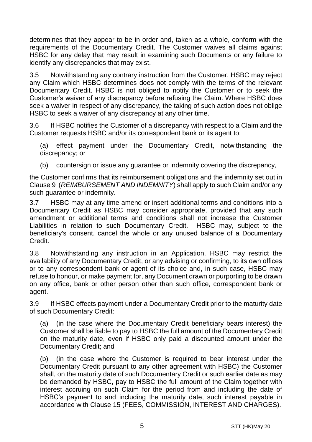determines that they appear to be in order and, taken as a whole, conform with the requirements of the Documentary Credit. The Customer waives all claims against HSBC for any delay that may result in examining such Documents or any failure to identify any discrepancies that may exist.

3.5 Notwithstanding any contrary instruction from the Customer, HSBC may reject any Claim which HSBC determines does not comply with the terms of the relevant Documentary Credit. HSBC is not obliged to notify the Customer or to seek the Customer's waiver of any discrepancy before refusing the Claim. Where HSBC does seek a waiver in respect of any discrepancy, the taking of such action does not oblige HSBC to seek a waiver of any discrepancy at any other time.

3.6 If HSBC notifies the Customer of a discrepancy with respect to a Claim and the Customer requests HSBC and/or its correspondent bank or its agent to:

(a) effect payment under the Documentary Credit, notwithstanding the discrepancy; or

(b) countersign or issue any guarantee or indemnity covering the discrepancy,

the Customer confirms that its reimbursement obligations and the indemnity set out in Claus[e 9](#page-13-0) (*[REIMBURSEMENT AND INDEMNITY](#page-13-0)*) shall apply to such Claim and/or any such quarantee or indemnity.

3.7 HSBC may at any time amend or insert additional terms and conditions into a Documentary Credit as HSBC may consider appropriate, provided that any such amendment or additional terms and conditions shall not increase the Customer Liabilities in relation to such Documentary Credit. HSBC may, subject to the beneficiary's consent, cancel the whole or any unused balance of a Documentary Credit.

3.8 Notwithstanding any instruction in an Application, HSBC may restrict the availability of any Documentary Credit, or any advising or confirming, to its own offices or to any correspondent bank or agent of its choice and, in such case, HSBC may refuse to honour, or make payment for, any Document drawn or purporting to be drawn on any office, bank or other person other than such office, correspondent bank or agent.

3.9 If HSBC effects payment under a Documentary Credit prior to the maturity date of such Documentary Credit:

(a) (in the case where the Documentary Credit beneficiary bears interest) the Customer shall be liable to pay to HSBC the full amount of the Documentary Credit on the maturity date, even if HSBC only paid a discounted amount under the Documentary Credit; and

(b) (in the case where the Customer is required to bear interest under the Documentary Credit pursuant to any other agreement with HSBC) the Customer shall, on the maturity date of such Documentary Credit or such earlier date as may be demanded by HSBC, pay to HSBC the full amount of the Claim together with interest accruing on such Claim for the period from and including the date of HSBC's payment to and including the maturity date, such interest payable in accordance with Clause [15](#page-16-0) [\(FEES, COMMISSION, INTEREST AND CHARGES\)](#page-16-0).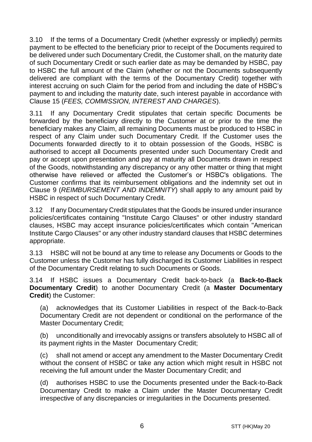3.10 If the terms of a Documentary Credit (whether expressly or impliedly) permits payment to be effected to the beneficiary prior to receipt of the Documents required to be delivered under such Documentary Credit, the Customer shall, on the maturity date of such Documentary Credit or such earlier date as may be demanded by HSBC, pay to HSBC the full amount of the Claim (whether or not the Documents subsequently delivered are compliant with the terms of the Documentary Credit) together with interest accruing on such Claim for the period from and including the date of HSBC's payment to and including the maturity date, such interest payable in accordance with Clause [15](#page-16-0) (*[FEES, COMMISSION, INTEREST AND CHARGES](#page-16-0)*).

If any Documentary Credit stipulates that certain specific Documents be forwarded by the beneficiary directly to the Customer at or prior to the time the beneficiary makes any Claim, all remaining Documents must be produced to HSBC in respect of any Claim under such Documentary Credit. If the Customer uses the Documents forwarded directly to it to obtain possession of the Goods, HSBC is authorised to accept all Documents presented under such Documentary Credit and pay or accept upon presentation and pay at maturity all Documents drawn in respect of the Goods, notwithstanding any discrepancy or any other matter or thing that might otherwise have relieved or affected the Customer's or HSBC's obligations. The Customer confirms that its reimbursement obligations and the indemnity set out in Clause [9](#page-13-0) (*[REIMBURSEMENT AND INDEMNITY](#page-13-0)*) shall apply to any amount paid by HSBC in respect of such Documentary Credit.

3.12 If any Documentary Credit stipulates that the Goods be insured under insurance policies/certificates containing "Institute Cargo Clauses" or other industry standard clauses, HSBC may accept insurance policies/certificates which contain "American Institute Cargo Clauses" or any other industry standard clauses that HSBC determines appropriate.

3.13 HSBC will not be bound at any time to release any Documents or Goods to the Customer unless the Customer has fully discharged its Customer Liabilities in respect of the Documentary Credit relating to such Documents or Goods.

<span id="page-5-0"></span>3.14 If HSBC issues a Documentary Credit back-to-back (a **Back-to-Back Documentary Credit**) to another Documentary Credit (a **Master Documentary Credit**) the Customer:

(a) acknowledges that its Customer Liabilities in respect of the Back-to-Back Documentary Credit are not dependent or conditional on the performance of the Master Documentary Credit;

(b) unconditionally and irrevocably assigns or transfers absolutely to HSBC all of its payment rights in the Master Documentary Credit;

(c) shall not amend or accept any amendment to the Master Documentary Credit without the consent of HSBC or take any action which might result in HSBC not receiving the full amount under the Master Documentary Credit; and

(d) authorises HSBC to use the Documents presented under the Back-to-Back Documentary Credit to make a Claim under the Master Documentary Credit irrespective of any discrepancies or irregularities in the Documents presented.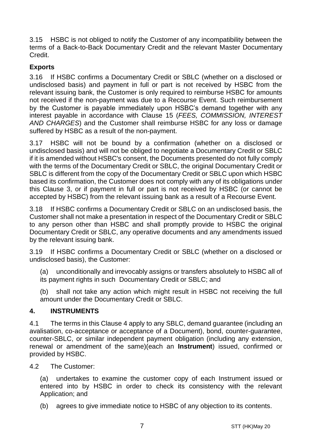3.15 HSBC is not obliged to notify the Customer of any incompatibility between the terms of a Back-to-Back Documentary Credit and the relevant Master Documentary Credit.

# **Exports**

3.16 If HSBC confirms a Documentary Credit or SBLC (whether on a disclosed or undisclosed basis) and payment in full or part is not received by HSBC from the relevant issuing bank, the Customer is only required to reimburse HSBC for amounts not received if the non-payment was due to a Recourse Event. Such reimbursement by the Customer is payable immediately upon HSBC's demand together with any interest payable in accordance with Clause [15](#page-16-0) (*[FEES, COMMISSION, INTEREST](#page-16-0)  [AND CHARGES](#page-16-0)*) and the Customer shall reimburse HSBC for any loss or damage suffered by HSBC as a result of the non-payment.

3.17 HSBC will not be bound by a confirmation (whether on a disclosed or undisclosed basis) and will not be obliged to negotiate a Documentary Credit or SBLC if it is amended without HSBC's consent, the Documents presented do not fully comply with the terms of the Documentary Credit or SBLC, the original Documentary Credit or SBLC is different from the copy of the Documentary Credit or SBLC upon which HSBC based its confirmation, the Customer does not comply with any of its obligations under this Clause [3,](#page-3-0) or if payment in full or part is not received by HSBC (or cannot be accepted by HSBC) from the relevant issuing bank as a result of a Recourse Event.

3.18 If HSBC confirms a Documentary Credit or SBLC on an undisclosed basis, the Customer shall not make a presentation in respect of the Documentary Credit or SBLC to any person other than HSBC and shall promptly provide to HSBC the original Documentary Credit or SBLC, any operative documents and any amendments issued by the relevant issuing bank.

3.19 If HSBC confirms a Documentary Credit or SBLC (whether on a disclosed or undisclosed basis), the Customer:

(a) unconditionally and irrevocably assigns or transfers absolutely to HSBC all of its payment rights in such Documentary Credit or SBLC; and

(b) shall not take any action which might result in HSBC not receiving the full amount under the Documentary Credit or SBLC.

## <span id="page-6-0"></span>**4. INSTRUMENTS**

4.1 The terms in this Clause [4](#page-6-0) apply to any SBLC, demand guarantee (including an avalisation, co-acceptance or acceptance of a Document), bond, counter-guarantee, counter-SBLC, or similar independent payment obligation (including any extension, renewal or amendment of the same)(each an **Instrument**) issued, confirmed or provided by HSBC.

4.2 The Customer:

(a) undertakes to examine the customer copy of each Instrument issued or entered into by HSBC in order to check its consistency with the relevant Application; and

(b) agrees to give immediate notice to HSBC of any objection to its contents.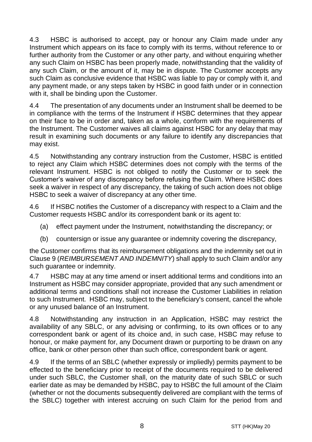4.3 HSBC is authorised to accept, pay or honour any Claim made under any Instrument which appears on its face to comply with its terms, without reference to or further authority from the Customer or any other party, and without enquiring whether any such Claim on HSBC has been properly made, notwithstanding that the validity of any such Claim, or the amount of it, may be in dispute. The Customer accepts any such Claim as conclusive evidence that HSBC was liable to pay or comply with it, and any payment made, or any steps taken by HSBC in good faith under or in connection with it, shall be binding upon the Customer.

4.4 The presentation of any documents under an Instrument shall be deemed to be in compliance with the terms of the Instrument if HSBC determines that they appear on their face to be in order and, taken as a whole, conform with the requirements of the Instrument. The Customer waives all claims against HSBC for any delay that may result in examining such documents or any failure to identify any discrepancies that may exist.

4.5 Notwithstanding any contrary instruction from the Customer, HSBC is entitled to reject any Claim which HSBC determines does not comply with the terms of the relevant Instrument. HSBC is not obliged to notify the Customer or to seek the Customer's waiver of any discrepancy before refusing the Claim. Where HSBC does seek a waiver in respect of any discrepancy, the taking of such action does not oblige HSBC to seek a waiver of discrepancy at any other time.

4.6 If HSBC notifies the Customer of a discrepancy with respect to a Claim and the Customer requests HSBC and/or its correspondent bank or its agent to:

- (a) effect payment under the Instrument, notwithstanding the discrepancy; or
- (b) countersign or issue any guarantee or indemnity covering the discrepancy,

the Customer confirms that its reimbursement obligations and the indemnity set out in Clause [9](#page-13-0) (*[REIMBURSEMENT AND INDEMNITY](#page-13-0)*) shall apply to such Claim and/or any such quarantee or indemnity.

4.7 HSBC may at any time amend or insert additional terms and conditions into an Instrument as HSBC may consider appropriate, provided that any such amendment or additional terms and conditions shall not increase the Customer Liabilities in relation to such Instrument. HSBC may, subject to the beneficiary's consent, cancel the whole or any unused balance of an Instrument.

4.8 Notwithstanding any instruction in an Application, HSBC may restrict the availability of any SBLC, or any advising or confirming, to its own offices or to any correspondent bank or agent of its choice and, in such case, HSBC may refuse to honour, or make payment for, any Document drawn or purporting to be drawn on any office, bank or other person other than such office, correspondent bank or agent.

4.9 If the terms of an SBLC (whether expressly or impliedly) permits payment to be effected to the beneficiary prior to receipt of the documents required to be delivered under such SBLC, the Customer shall, on the maturity date of such SBLC or such earlier date as may be demanded by HSBC, pay to HSBC the full amount of the Claim (whether or not the documents subsequently delivered are compliant with the terms of the SBLC) together with interest accruing on such Claim for the period from and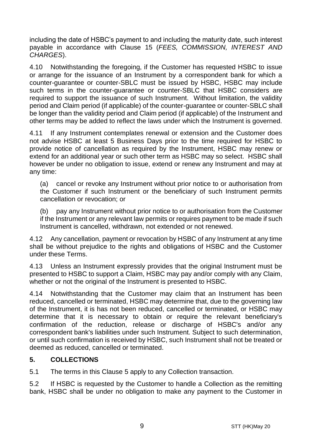including the date of HSBC's payment to and including the maturity date, such interest payable in accordance with Clause [15](#page-16-0) (*[FEES, COMMISSION, INTEREST AND](#page-16-0)  [CHARGES](#page-16-0)*).

4.10 Notwithstanding the foregoing, if the Customer has requested HSBC to issue or arrange for the issuance of an Instrument by a correspondent bank for which a counter-guarantee or counter-SBLC must be issued by HSBC, HSBC may include such terms in the counter-guarantee or counter-SBLC that HSBC considers are required to support the issuance of such Instrument. Without limitation, the validity period and Claim period (if applicable) of the counter-guarantee or counter-SBLC shall be longer than the validity period and Claim period (if applicable) of the Instrument and other terms may be added to reflect the laws under which the Instrument is governed.

4.11 If any Instrument contemplates renewal or extension and the Customer does not advise HSBC at least 5 Business Days prior to the time required for HSBC to provide notice of cancellation as required by the Instrument, HSBC may renew or extend for an additional year or such other term as HSBC may so select. HSBC shall however be under no obligation to issue, extend or renew any Instrument and may at any time:

(a) cancel or revoke any Instrument without prior notice to or authorisation from the Customer if such Instrument or the beneficiary of such Instrument permits cancellation or revocation; or

(b) pay any Instrument without prior notice to or authorisation from the Customer if the Instrument or any relevant law permits or requires payment to be made if such Instrument is cancelled, withdrawn, not extended or not renewed.

4.12 Any cancellation, payment or revocation by HSBC of any Instrument at any time shall be without prejudice to the rights and obligations of HSBC and the Customer under these Terms.

4.13 Unless an Instrument expressly provides that the original Instrument must be presented to HSBC to support a Claim, HSBC may pay and/or comply with any Claim, whether or not the original of the Instrument is presented to HSBC.

4.14 Notwithstanding that the Customer may claim that an Instrument has been reduced, cancelled or terminated, HSBC may determine that, due to the governing law of the Instrument, it is has not been reduced, cancelled or terminated, or HSBC may determine that it is necessary to obtain or require the relevant beneficiary's confirmation of the reduction, release or discharge of HSBC's and/or any correspondent bank's liabilities under such Instrument. Subject to such determination, or until such confirmation is received by HSBC, such Instrument shall not be treated or deemed as reduced, cancelled or terminated.

## <span id="page-8-0"></span>**5. COLLECTIONS**

5.1 The terms in this Claus[e 5](#page-8-0) apply to any Collection transaction.

5.2 If HSBC is requested by the Customer to handle a Collection as the remitting bank, HSBC shall be under no obligation to make any payment to the Customer in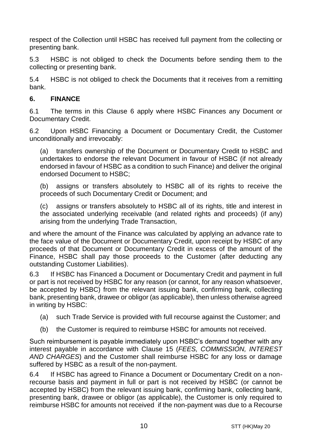respect of the Collection until HSBC has received full payment from the collecting or presenting bank.

5.3 HSBC is not obliged to check the Documents before sending them to the collecting or presenting bank.

5.4 HSBC is not obliged to check the Documents that it receives from a remitting bank.

## <span id="page-9-0"></span>**6. FINANCE**

6.1 The terms in this Clause [6](#page-9-0) apply where HSBC Finances any Document or Documentary Credit.

6.2 Upon HSBC Financing a Document or Documentary Credit, the Customer unconditionally and irrevocably:

(a) transfers ownership of the Document or Documentary Credit to HSBC and undertakes to endorse the relevant Document in favour of HSBC (if not already endorsed in favour of HSBC as a condition to such Finance) and deliver the original endorsed Document to HSBC;

(b) assigns or transfers absolutely to HSBC all of its rights to receive the proceeds of such Documentary Credit or Document; and

(c) assigns or transfers absolutely to HSBC all of its rights, title and interest in the associated underlying receivable (and related rights and proceeds) (if any) arising from the underlying Trade Transaction,

and where the amount of the Finance was calculated by applying an advance rate to the face value of the Document or Documentary Credit, upon receipt by HSBC of any proceeds of that Document or Documentary Credit in excess of the amount of the Finance, HSBC shall pay those proceeds to the Customer (after deducting any outstanding Customer Liabilities).

6.3 If HSBC has Financed a Document or Documentary Credit and payment in full or part is not received by HSBC for any reason (or cannot, for any reason whatsoever, be accepted by HSBC) from the relevant issuing bank, confirming bank, collecting bank, presenting bank, drawee or obligor (as applicable), then unless otherwise agreed in writing by HSBC:

- (a) such Trade Service is provided with full recourse against the Customer; and
- (b) the Customer is required to reimburse HSBC for amounts not received.

Such reimbursement is payable immediately upon HSBC's demand together with any interest payable in accordance with Clause [15](#page-16-0) (*[FEES, COMMISSION, INTEREST](#page-16-0)  [AND CHARGES](#page-16-0)*) and the Customer shall reimburse HSBC for any loss or damage suffered by HSBC as a result of the non-payment.

6.4 If HSBC has agreed to Finance a Document or Documentary Credit on a nonrecourse basis and payment in full or part is not received by HSBC (or cannot be accepted by HSBC) from the relevant issuing bank, confirming bank, collecting bank, presenting bank, drawee or obligor (as applicable), the Customer is only required to reimburse HSBC for amounts not received if the non-payment was due to a Recourse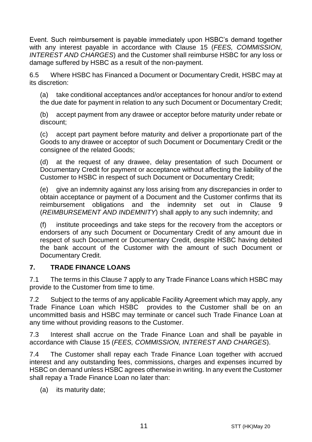Event. Such reimbursement is payable immediately upon HSBC's demand together with any interest payable in accordance with Clause [15](#page-16-0) (*[FEES, COMMISSION,](#page-16-0)  [INTEREST AND CHARGES](#page-16-0)*) and the Customer shall reimburse HSBC for any loss or damage suffered by HSBC as a result of the non-payment.

6.5 Where HSBC has Financed a Document or Documentary Credit, HSBC may at its discretion:

(a) take conditional acceptances and/or acceptances for honour and/or to extend the due date for payment in relation to any such Document or Documentary Credit;

(b) accept payment from any drawee or acceptor before maturity under rebate or discount;

(c) accept part payment before maturity and deliver a proportionate part of the Goods to any drawee or acceptor of such Document or Documentary Credit or the consignee of the related Goods;

(d) at the request of any drawee, delay presentation of such Document or Documentary Credit for payment or acceptance without affecting the liability of the Customer to HSBC in respect of such Document or Documentary Credit;

(e) give an indemnity against any loss arising from any discrepancies in order to obtain acceptance or payment of a Document and the Customer confirms that its reimbursement obligations and the indemnity set out in Clause [9](#page-13-0) (*[REIMBURSEMENT AND INDEMNITY](#page-13-0)*) shall apply to any such indemnity; and

(f) institute proceedings and take steps for the recovery from the acceptors or endorsers of any such Document or Documentary Credit of any amount due in respect of such Document or Documentary Credit, despite HSBC having debited the bank account of the Customer with the amount of such Document or Documentary Credit.

## <span id="page-10-0"></span>**7. TRADE FINANCE LOANS**

7.1 The terms in this Claus[e 7](#page-10-0) apply to any Trade Finance Loans which HSBC may provide to the Customer from time to time.

7.2 Subject to the terms of any applicable Facility Agreement which may apply, any Trade Finance Loan which HSBC provides to the Customer shall be on an uncommitted basis and HSBC may terminate or cancel such Trade Finance Loan at any time without providing reasons to the Customer.

7.3 Interest shall accrue on the Trade Finance Loan and shall be payable in accordance with Clause [15](#page-16-0) (*[FEES, COMMISSION, INTEREST AND CHARGES](#page-16-0)*).

7.4 The Customer shall repay each Trade Finance Loan together with accrued interest and any outstanding fees, commissions, charges and expenses incurred by HSBC on demand unless HSBC agrees otherwise in writing. In any event the Customer shall repay a Trade Finance Loan no later than:

(a) its maturity date;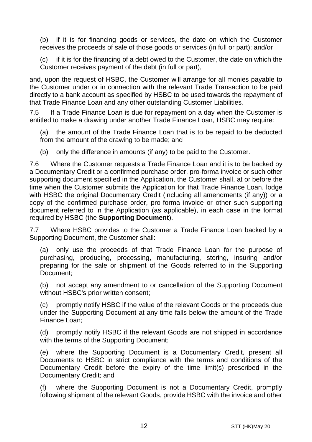(b) if it is for financing goods or services, the date on which the Customer receives the proceeds of sale of those goods or services (in full or part); and/or

(c) if it is for the financing of a debt owed to the Customer, the date on which the Customer receives payment of the debt (in full or part),

and, upon the request of HSBC, the Customer will arrange for all monies payable to the Customer under or in connection with the relevant Trade Transaction to be paid directly to a bank account as specified by HSBC to be used towards the repayment of that Trade Finance Loan and any other outstanding Customer Liabilities.

7.5 If a Trade Finance Loan is due for repayment on a day when the Customer is entitled to make a drawing under another Trade Finance Loan, HSBC may require:

(a) the amount of the Trade Finance Loan that is to be repaid to be deducted from the amount of the drawing to be made; and

(b) only the difference in amounts (if any) to be paid to the Customer.

7.6 Where the Customer requests a Trade Finance Loan and it is to be backed by a Documentary Credit or a confirmed purchase order, pro-forma invoice or such other supporting document specified in the Application, the Customer shall, at or before the time when the Customer submits the Application for that Trade Finance Loan, lodge with HSBC the original Documentary Credit (including all amendments (if any)) or a copy of the confirmed purchase order, pro-forma invoice or other such supporting document referred to in the Application (as applicable), in each case in the format required by HSBC (the **Supporting Document**).

7.7 Where HSBC provides to the Customer a Trade Finance Loan backed by a Supporting Document, the Customer shall:

(a) only use the proceeds of that Trade Finance Loan for the purpose of purchasing, producing, processing, manufacturing, storing, insuring and/or preparing for the sale or shipment of the Goods referred to in the Supporting Document;

(b) not accept any amendment to or cancellation of the Supporting Document without HSBC's prior written consent;

(c) promptly notify HSBC if the value of the relevant Goods or the proceeds due under the Supporting Document at any time falls below the amount of the Trade Finance Loan;

(d) promptly notify HSBC if the relevant Goods are not shipped in accordance with the terms of the Supporting Document;

(e) where the Supporting Document is a Documentary Credit, present all Documents to HSBC in strict compliance with the terms and conditions of the Documentary Credit before the expiry of the time limit(s) prescribed in the Documentary Credit; and

(f) where the Supporting Document is not a Documentary Credit, promptly following shipment of the relevant Goods, provide HSBC with the invoice and other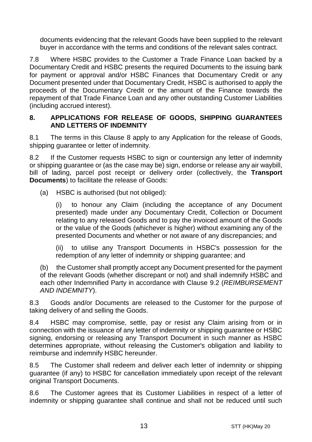documents evidencing that the relevant Goods have been supplied to the relevant buyer in accordance with the terms and conditions of the relevant sales contract.

7.8 Where HSBC provides to the Customer a Trade Finance Loan backed by a Documentary Credit and HSBC presents the required Documents to the issuing bank for payment or approval and/or HSBC Finances that Documentary Credit or any Document presented under that Documentary Credit, HSBC is authorised to apply the proceeds of the Documentary Credit or the amount of the Finance towards the repayment of that Trade Finance Loan and any other outstanding Customer Liabilities (including accrued interest).

#### <span id="page-12-0"></span>**8. APPLICATIONS FOR RELEASE OF GOODS, SHIPPING GUARANTEES AND LETTERS OF INDEMNITY**

8.1 The terms in this Clause [8](#page-12-0) apply to any Application for the release of Goods, shipping guarantee or letter of indemnity.

8.2 If the Customer requests HSBC to sign or countersign any letter of indemnity or shipping guarantee or (as the case may be) sign, endorse or release any air waybill, bill of lading, parcel post receipt or delivery order (collectively, the **Transport Documents**) to facilitate the release of Goods:

(a) HSBC is authorised (but not obliged):

(i) to honour any Claim (including the acceptance of any Document presented) made under any Documentary Credit, Collection or Document relating to any released Goods and to pay the invoiced amount of the Goods or the value of the Goods (whichever is higher) without examining any of the presented Documents and whether or not aware of any discrepancies; and

(ii) to utilise any Transport Documents in HSBC's possession for the redemption of any letter of indemnity or shipping guarantee; and

(b) the Customer shall promptly accept any Document presented for the payment of the relevant Goods (whether discrepant or not) and shall indemnify HSBC and each other Indemnified Party in accordance with Clause [9.2](#page-13-1) (*[REIMBURSEMENT](#page-13-0)  [AND INDEMNITY](#page-13-0)*).

8.3 Goods and/or Documents are released to the Customer for the purpose of taking delivery of and selling the Goods.

8.4 HSBC may compromise, settle, pay or resist any Claim arising from or in connection with the issuance of any letter of indemnity or shipping guarantee or HSBC signing, endorsing or releasing any Transport Document in such manner as HSBC determines appropriate, without releasing the Customer's obligation and liability to reimburse and indemnify HSBC hereunder.

8.5 The Customer shall redeem and deliver each letter of indemnity or shipping guarantee (if any) to HSBC for cancellation immediately upon receipt of the relevant original Transport Documents.

8.6 The Customer agrees that its Customer Liabilities in respect of a letter of indemnity or shipping guarantee shall continue and shall not be reduced until such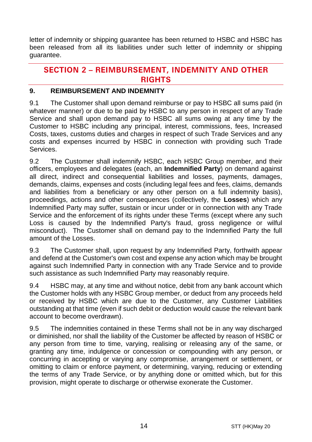letter of indemnity or shipping guarantee has been returned to HSBC and HSBC has been released from all its liabilities under such letter of indemnity or shipping guarantee.

# **SECTION 2 - REIMBURSEMENT, INDEMNITY AND OTHER RIGHTS**

#### <span id="page-13-0"></span>**9. REIMBURSEMENT AND INDEMNITY**

9.1 The Customer shall upon demand reimburse or pay to HSBC all sums paid (in whatever manner) or due to be paid by HSBC to any person in respect of any Trade Service and shall upon demand pay to HSBC all sums owing at any time by the Customer to HSBC including any principal, interest, commissions, fees, Increased Costs, taxes, customs duties and charges in respect of such Trade Services and any costs and expenses incurred by HSBC in connection with providing such Trade Services.

<span id="page-13-1"></span>9.2 The Customer shall indemnify HSBC, each HSBC Group member, and their officers, employees and delegates (each, an **Indemnified Party**) on demand against all direct, indirect and consequential liabilities and losses, payments, damages, demands, claims, expenses and costs (including legal fees and fees, claims, demands and liabilities from a beneficiary or any other person on a full indemnity basis), proceedings, actions and other consequences (collectively, the **Losses**) which any Indemnified Party may suffer, sustain or incur under or in connection with any Trade Service and the enforcement of its rights under these Terms (except where any such Loss is caused by the Indemnified Party's fraud, gross negligence or wilful misconduct). The Customer shall on demand pay to the Indemnified Party the full amount of the Losses.

9.3 The Customer shall, upon request by any Indemnified Party, forthwith appear and defend at the Customer's own cost and expense any action which may be brought against such Indemnified Party in connection with any Trade Service and to provide such assistance as such Indemnified Party may reasonably require.

9.4 HSBC may, at any time and without notice, debit from any bank account which the Customer holds with any HSBC Group member, or deduct from any proceeds held or received by HSBC which are due to the Customer, any Customer Liabilities outstanding at that time (even if such debit or deduction would cause the relevant bank account to become overdrawn).

9.5 The indemnities contained in these Terms shall not be in any way discharged or diminished, nor shall the liability of the Customer be affected by reason of HSBC or any person from time to time, varying, realising or releasing any of the same, or granting any time, indulgence or concession or compounding with any person, or concurring in accepting or varying any compromise, arrangement or settlement, or omitting to claim or enforce payment, or determining, varying, reducing or extending the terms of any Trade Service, or by anything done or omitted which, but for this provision, might operate to discharge or otherwise exonerate the Customer.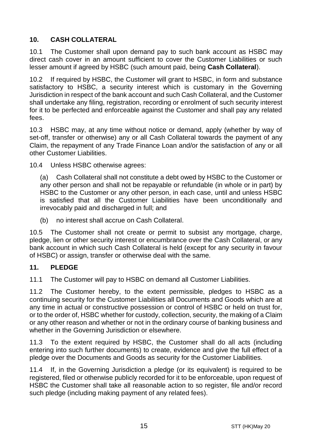# <span id="page-14-1"></span>**10. CASH COLLATERAL**

10.1 The Customer shall upon demand pay to such bank account as HSBC may direct cash cover in an amount sufficient to cover the Customer Liabilities or such lesser amount if agreed by HSBC (such amount paid, being **Cash Collateral**).

10.2 If required by HSBC, the Customer will grant to HSBC, in form and substance satisfactory to HSBC, a security interest which is customary in the Governing Jurisdiction in respect of the bank account and such Cash Collateral, and the Customer shall undertake any filing, registration, recording or enrolment of such security interest for it to be perfected and enforceable against the Customer and shall pay any related fees.

10.3 HSBC may, at any time without notice or demand, apply (whether by way of set-off, transfer or otherwise) any or all Cash Collateral towards the payment of any Claim, the repayment of any Trade Finance Loan and/or the satisfaction of any or all other Customer Liabilities.

10.4 Unless HSBC otherwise agrees:

(a) Cash Collateral shall not constitute a debt owed by HSBC to the Customer or any other person and shall not be repayable or refundable (in whole or in part) by HSBC to the Customer or any other person, in each case, until and unless HSBC is satisfied that all the Customer Liabilities have been unconditionally and irrevocably paid and discharged in full; and

(b) no interest shall accrue on Cash Collateral.

10.5 The Customer shall not create or permit to subsist any mortgage, charge, pledge, lien or other security interest or encumbrance over the Cash Collateral, or any bank account in which such Cash Collateral is held (except for any security in favour of HSBC) or assign, transfer or otherwise deal with the same.

## <span id="page-14-0"></span>**11. PLEDGE**

11.1 The Customer will pay to HSBC on demand all Customer Liabilities.

11.2 The Customer hereby, to the extent permissible, pledges to HSBC as a continuing security for the Customer Liabilities all Documents and Goods which are at any time in actual or constructive possession or control of HSBC or held on trust for, or to the order of, HSBC whether for custody, collection, security, the making of a Claim or any other reason and whether or not in the ordinary course of banking business and whether in the Governing Jurisdiction or elsewhere.

11.3 To the extent required by HSBC, the Customer shall do all acts (including entering into such further documents) to create, evidence and give the full effect of a pledge over the Documents and Goods as security for the Customer Liabilities.

11.4 If, in the Governing Jurisdiction a pledge (or its equivalent) is required to be registered, filed or otherwise publicly recorded for it to be enforceable, upon request of HSBC the Customer shall take all reasonable action to so register, file and/or record such pledge (including making payment of any related fees).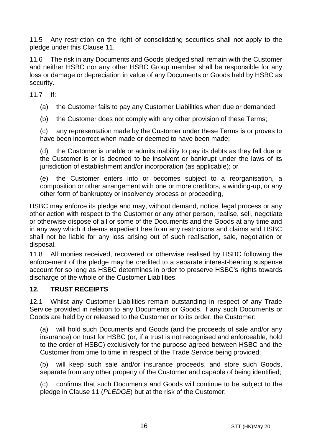11.5 Any restriction on the right of consolidating securities shall not apply to the pledge under this Clause [11.](#page-14-0)

11.6 The risk in any Documents and Goods pledged shall remain with the Customer and neither HSBC nor any other HSBC Group member shall be responsible for any loss or damage or depreciation in value of any Documents or Goods held by HSBC as security.

11.7 If:

(a) the Customer fails to pay any Customer Liabilities when due or demanded;

(b) the Customer does not comply with any other provision of these Terms;

(c) any representation made by the Customer under these Terms is or proves to have been incorrect when made or deemed to have been made;

(d) the Customer is unable or admits inability to pay its debts as they fall due or the Customer is or is deemed to be insolvent or bankrupt under the laws of its jurisdiction of establishment and/or incorporation (as applicable); or

(e) the Customer enters into or becomes subject to a reorganisation, a composition or other arrangement with one or more creditors, a winding-up, or any other form of bankruptcy or insolvency process or proceeding,

HSBC may enforce its pledge and may, without demand, notice, legal process or any other action with respect to the Customer or any other person, realise, sell, negotiate or otherwise dispose of all or some of the Documents and the Goods at any time and in any way which it deems expedient free from any restrictions and claims and HSBC shall not be liable for any loss arising out of such realisation, sale, negotiation or disposal.

11.8 All monies received, recovered or otherwise realised by HSBC following the enforcement of the pledge may be credited to a separate interest-bearing suspense account for so long as HSBC determines in order to preserve HSBC's rights towards discharge of the whole of the Customer Liabilities.

## **12. TRUST RECEIPTS**

12.1 Whilst any Customer Liabilities remain outstanding in respect of any Trade Service provided in relation to any Documents or Goods, if any such Documents or Goods are held by or released to the Customer or to its order, the Customer:

(a) will hold such Documents and Goods (and the proceeds of sale and/or any insurance) on trust for HSBC (or, if a trust is not recognised and enforceable, hold to the order of HSBC) exclusively for the purpose agreed between HSBC and the Customer from time to time in respect of the Trade Service being provided;

(b) will keep such sale and/or insurance proceeds, and store such Goods, separate from any other property of the Customer and capable of being identified;

(c) confirms that such Documents and Goods will continue to be subject to the pledge in Clause [11](#page-14-0) (*[PLEDGE](#page-14-0)*) but at the risk of the Customer;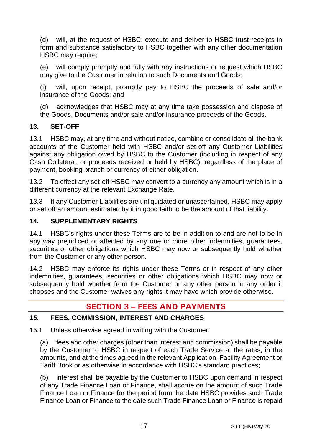(d) will, at the request of HSBC, execute and deliver to HSBC trust receipts in form and substance satisfactory to HSBC together with any other documentation HSBC may require;

(e) will comply promptly and fully with any instructions or request which HSBC may give to the Customer in relation to such Documents and Goods;

(f) will, upon receipt, promptly pay to HSBC the proceeds of sale and/or insurance of the Goods; and

(g) acknowledges that HSBC may at any time take possession and dispose of the Goods, Documents and/or sale and/or insurance proceeds of the Goods.

## **13. SET-OFF**

13.1 HSBC may, at any time and without notice, combine or consolidate all the bank accounts of the Customer held with HSBC and/or set-off any Customer Liabilities against any obligation owed by HSBC to the Customer (including in respect of any Cash Collateral, or proceeds received or held by HSBC), regardless of the place of payment, booking branch or currency of either obligation.

13.2 To effect any set-off HSBC may convert to a currency any amount which is in a different currency at the relevant Exchange Rate.

13.3 If any Customer Liabilities are unliquidated or unascertained, HSBC may apply or set off an amount estimated by it in good faith to be the amount of that liability.

## **14. SUPPLEMENTARY RIGHTS**

14.1 HSBC's rights under these Terms are to be in addition to and are not to be in any way prejudiced or affected by any one or more other indemnities, guarantees, securities or other obligations which HSBC may now or subsequently hold whether from the Customer or any other person.

14.2 HSBC may enforce its rights under these Terms or in respect of any other indemnities, guarantees, securities or other obligations which HSBC may now or subsequently hold whether from the Customer or any other person in any order it chooses and the Customer waives any rights it may have which provide otherwise.

# **SECTION 3 - FEES AND PAYMENTS**

## <span id="page-16-0"></span>**15. FEES, COMMISSION, INTEREST AND CHARGES**

15.1 Unless otherwise agreed in writing with the Customer:

(a) fees and other charges (other than interest and commission) shall be payable by the Customer to HSBC in respect of each Trade Service at the rates, in the amounts, and at the times agreed in the relevant Application, Facility Agreement or Tariff Book or as otherwise in accordance with HSBC's standard practices;

(b) interest shall be payable by the Customer to HSBC upon demand in respect of any Trade Finance Loan or Finance, shall accrue on the amount of such Trade Finance Loan or Finance for the period from the date HSBC provides such Trade Finance Loan or Finance to the date such Trade Finance Loan or Finance is repaid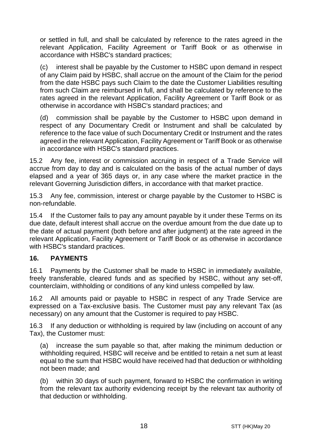or settled in full, and shall be calculated by reference to the rates agreed in the relevant Application, Facility Agreement or Tariff Book or as otherwise in accordance with HSBC's standard practices;

interest shall be payable by the Customer to HSBC upon demand in respect of any Claim paid by HSBC, shall accrue on the amount of the Claim for the period from the date HSBC pays such Claim to the date the Customer Liabilities resulting from such Claim are reimbursed in full, and shall be calculated by reference to the rates agreed in the relevant Application, Facility Agreement or Tariff Book or as otherwise in accordance with HSBC's standard practices; and

(d) commission shall be payable by the Customer to HSBC upon demand in respect of any Documentary Credit or Instrument and shall be calculated by reference to the face value of such Documentary Credit or Instrument and the rates agreed in the relevant Application, Facility Agreement or Tariff Book or as otherwise in accordance with HSBC's standard practices.

15.2 Any fee, interest or commission accruing in respect of a Trade Service will accrue from day to day and is calculated on the basis of the actual number of days elapsed and a year of 365 days or, in any case where the market practice in the relevant Governing Jurisdiction differs, in accordance with that market practice.

15.3 Any fee, commission, interest or charge payable by the Customer to HSBC is non-refundable.

15.4 If the Customer fails to pay any amount payable by it under these Terms on its due date, default interest shall accrue on the overdue amount from the due date up to the date of actual payment (both before and after judgment) at the rate agreed in the relevant Application, Facility Agreement or Tariff Book or as otherwise in accordance with HSBC's standard practices.

## **16. PAYMENTS**

16.1 Payments by the Customer shall be made to HSBC in immediately available, freely transferable, cleared funds and as specified by HSBC, without any set-off, counterclaim, withholding or conditions of any kind unless compelled by law.

16.2 All amounts paid or payable to HSBC in respect of any Trade Service are expressed on a Tax-exclusive basis. The Customer must pay any relevant Tax (as necessary) on any amount that the Customer is required to pay HSBC.

16.3 If any deduction or withholding is required by law (including on account of any Tax), the Customer must:

(a) increase the sum payable so that, after making the minimum deduction or withholding required, HSBC will receive and be entitled to retain a net sum at least equal to the sum that HSBC would have received had that deduction or withholding not been made; and

(b) within 30 days of such payment, forward to HSBC the confirmation in writing from the relevant tax authority evidencing receipt by the relevant tax authority of that deduction or withholding.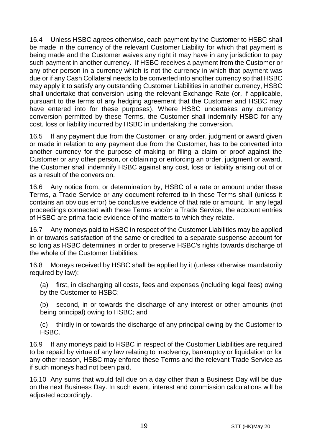16.4 Unless HSBC agrees otherwise, each payment by the Customer to HSBC shall be made in the currency of the relevant Customer Liability for which that payment is being made and the Customer waives any right it may have in any jurisdiction to pay such payment in another currency. If HSBC receives a payment from the Customer or any other person in a currency which is not the currency in which that payment was due or if any Cash Collateral needs to be converted into another currency so that HSBC may apply it to satisfy any outstanding Customer Liabilities in another currency, HSBC shall undertake that conversion using the relevant Exchange Rate (or, if applicable, pursuant to the terms of any hedging agreement that the Customer and HSBC may have entered into for these purposes). Where HSBC undertakes any currency conversion permitted by these Terms, the Customer shall indemnify HSBC for any cost, loss or liability incurred by HSBC in undertaking the conversion.

16.5 If any payment due from the Customer, or any order, judgment or award given or made in relation to any payment due from the Customer, has to be converted into another currency for the purpose of making or filing a claim or proof against the Customer or any other person, or obtaining or enforcing an order, judgment or award, the Customer shall indemnify HSBC against any cost, loss or liability arising out of or as a result of the conversion.

16.6 Any notice from, or determination by, HSBC of a rate or amount under these Terms, a Trade Service or any document referred to in these Terms shall (unless it contains an obvious error) be conclusive evidence of that rate or amount. In any legal proceedings connected with these Terms and/or a Trade Service, the account entries of HSBC are prima facie evidence of the matters to which they relate.

16.7 Any moneys paid to HSBC in respect of the Customer Liabilities may be applied in or towards satisfaction of the same or credited to a separate suspense account for so long as HSBC determines in order to preserve HSBC's rights towards discharge of the whole of the Customer Liabilities.

16.8 Moneys received by HSBC shall be applied by it (unless otherwise mandatorily required by law):

(a) first, in discharging all costs, fees and expenses (including legal fees) owing by the Customer to HSBC;

(b) second, in or towards the discharge of any interest or other amounts (not being principal) owing to HSBC; and

(c) thirdly in or towards the discharge of any principal owing by the Customer to HSBC.

16.9 If any moneys paid to HSBC in respect of the Customer Liabilities are required to be repaid by virtue of any law relating to insolvency, bankruptcy or liquidation or for any other reason, HSBC may enforce these Terms and the relevant Trade Service as if such moneys had not been paid.

16.10 Any sums that would fall due on a day other than a Business Day will be due on the next Business Day. In such event, interest and commission calculations will be adjusted accordingly.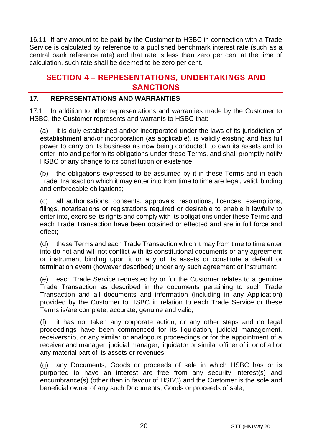16.11 If any amount to be paid by the Customer to HSBC in connection with a Trade Service is calculated by reference to a published benchmark interest rate (such as a central bank reference rate) and that rate is less than zero per cent at the time of calculation, such rate shall be deemed to be zero per cent.

# **SECTION 4 - REPRESENTATIONS, UNDERTAKINGS AND SANCTIONS**

## **17. REPRESENTATIONS AND WARRANTIES**

17.1 In addition to other representations and warranties made by the Customer to HSBC, the Customer represents and warrants to HSBC that:

(a) it is duly established and/or incorporated under the laws of its jurisdiction of establishment and/or incorporation (as applicable), is validly existing and has full power to carry on its business as now being conducted, to own its assets and to enter into and perform its obligations under these Terms, and shall promptly notify HSBC of any change to its constitution or existence;

(b) the obligations expressed to be assumed by it in these Terms and in each Trade Transaction which it may enter into from time to time are legal, valid, binding and enforceable obligations;

(c) all authorisations, consents, approvals, resolutions, licences, exemptions, filings, notarisations or registrations required or desirable to enable it lawfully to enter into, exercise its rights and comply with its obligations under these Terms and each Trade Transaction have been obtained or effected and are in full force and effect;

(d) these Terms and each Trade Transaction which it may from time to time enter into do not and will not conflict with its constitutional documents or any agreement or instrument binding upon it or any of its assets or constitute a default or termination event (however described) under any such agreement or instrument;

(e) each Trade Service requested by or for the Customer relates to a genuine Trade Transaction as described in the documents pertaining to such Trade Transaction and all documents and information (including in any Application) provided by the Customer to HSBC in relation to each Trade Service or these Terms is/are complete, accurate, genuine and valid;

(f) it has not taken any corporate action, or any other steps and no legal proceedings have been commenced for its liquidation, judicial management, receivership, or any similar or analogous proceedings or for the appointment of a receiver and manager, judicial manager, liquidator or similar officer of it or of all or any material part of its assets or revenues;

(g) any Documents, Goods or proceeds of sale in which HSBC has or is purported to have an interest are free from any security interest(s) and encumbrance(s) (other than in favour of HSBC) and the Customer is the sole and beneficial owner of any such Documents, Goods or proceeds of sale;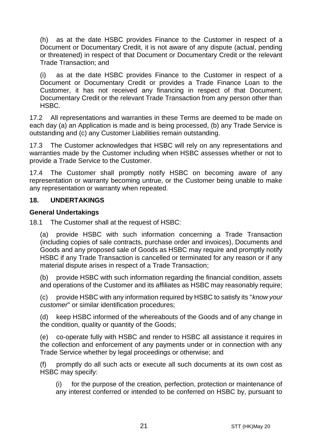(h) as at the date HSBC provides Finance to the Customer in respect of a Document or Documentary Credit, it is not aware of any dispute (actual, pending or threatened) in respect of that Document or Documentary Credit or the relevant Trade Transaction; and

(i) as at the date HSBC provides Finance to the Customer in respect of a Document or Documentary Credit or provides a Trade Finance Loan to the Customer, it has not received any financing in respect of that Document, Documentary Credit or the relevant Trade Transaction from any person other than HSBC.

17.2 All representations and warranties in these Terms are deemed to be made on each day (a) an Application is made and is being processed, (b) any Trade Service is outstanding and (c) any Customer Liabilities remain outstanding.

17.3 The Customer acknowledges that HSBC will rely on any representations and warranties made by the Customer including when HSBC assesses whether or not to provide a Trade Service to the Customer.

17.4 The Customer shall promptly notify HSBC on becoming aware of any representation or warranty becoming untrue, or the Customer being unable to make any representation or warranty when repeated.

#### **18. UNDERTAKINGS**

#### **General Undertakings**

18.1 The Customer shall at the request of HSBC:

(a) provide HSBC with such information concerning a Trade Transaction (including copies of sale contracts, purchase order and invoices), Documents and Goods and any proposed sale of Goods as HSBC may require and promptly notify HSBC if any Trade Transaction is cancelled or terminated for any reason or if any material dispute arises in respect of a Trade Transaction;

(b) provide HSBC with such information regarding the financial condition, assets and operations of the Customer and its affiliates as HSBC may reasonably require;

(c) provide HSBC with any information required by HSBC to satisfy its "*know your customer*" or similar identification procedures;

(d) keep HSBC informed of the whereabouts of the Goods and of any change in the condition, quality or quantity of the Goods;

(e) co-operate fully with HSBC and render to HSBC all assistance it requires in the collection and enforcement of any payments under or in connection with any Trade Service whether by legal proceedings or otherwise; and

promptly do all such acts or execute all such documents at its own cost as HSBC may specify:

(i) for the purpose of the creation, perfection, protection or maintenance of any interest conferred or intended to be conferred on HSBC by, pursuant to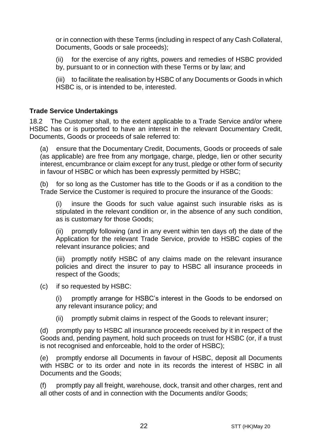or in connection with these Terms (including in respect of any Cash Collateral, Documents, Goods or sale proceeds);

(ii) for the exercise of any rights, powers and remedies of HSBC provided by, pursuant to or in connection with these Terms or by law; and

(iii) to facilitate the realisation by HSBC of any Documents or Goods in which HSBC is, or is intended to be, interested.

#### **Trade Service Undertakings**

18.2 The Customer shall, to the extent applicable to a Trade Service and/or where HSBC has or is purported to have an interest in the relevant Documentary Credit, Documents, Goods or proceeds of sale referred to:

(a) ensure that the Documentary Credit, Documents, Goods or proceeds of sale (as applicable) are free from any mortgage, charge, pledge, lien or other security interest, encumbrance or claim except for any trust, pledge or other form of security in favour of HSBC or which has been expressly permitted by HSBC;

(b) for so long as the Customer has title to the Goods or if as a condition to the Trade Service the Customer is required to procure the insurance of the Goods:

(i) insure the Goods for such value against such insurable risks as is stipulated in the relevant condition or, in the absence of any such condition, as is customary for those Goods;

(ii) promptly following (and in any event within ten days of) the date of the Application for the relevant Trade Service, provide to HSBC copies of the relevant insurance policies; and

(iii) promptly notify HSBC of any claims made on the relevant insurance policies and direct the insurer to pay to HSBC all insurance proceeds in respect of the Goods;

(c) if so requested by HSBC:

(i) promptly arrange for HSBC's interest in the Goods to be endorsed on any relevant insurance policy; and

(ii) promptly submit claims in respect of the Goods to relevant insurer;

(d) promptly pay to HSBC all insurance proceeds received by it in respect of the Goods and, pending payment, hold such proceeds on trust for HSBC (or, if a trust is not recognised and enforceable, hold to the order of HSBC);

(e) promptly endorse all Documents in favour of HSBC, deposit all Documents with HSBC or to its order and note in its records the interest of HSBC in all Documents and the Goods;

(f) promptly pay all freight, warehouse, dock, transit and other charges, rent and all other costs of and in connection with the Documents and/or Goods;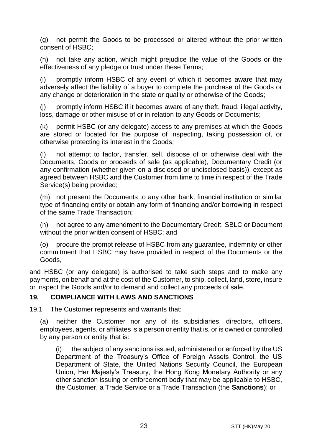(g) not permit the Goods to be processed or altered without the prior written consent of HSBC;

(h) not take any action, which might prejudice the value of the Goods or the effectiveness of any pledge or trust under these Terms;

(i) promptly inform HSBC of any event of which it becomes aware that may adversely affect the liability of a buyer to complete the purchase of the Goods or any change or deterioration in the state or quality or otherwise of the Goods;

(j) promptly inform HSBC if it becomes aware of any theft, fraud, illegal activity, loss, damage or other misuse of or in relation to any Goods or Documents;

(k) permit HSBC (or any delegate) access to any premises at which the Goods are stored or located for the purpose of inspecting, taking possession of, or otherwise protecting its interest in the Goods;

(l) not attempt to factor, transfer, sell, dispose of or otherwise deal with the Documents, Goods or proceeds of sale (as applicable), Documentary Credit (or any confirmation (whether given on a disclosed or undisclosed basis)), except as agreed between HSBC and the Customer from time to time in respect of the Trade Service(s) being provided;

(m) not present the Documents to any other bank, financial institution or similar type of financing entity or obtain any form of financing and/or borrowing in respect of the same Trade Transaction;

(n) not agree to any amendment to the Documentary Credit, SBLC or Document without the prior written consent of HSBC; and

(o) procure the prompt release of HSBC from any guarantee, indemnity or other commitment that HSBC may have provided in respect of the Documents or the Goods,

and HSBC (or any delegate) is authorised to take such steps and to make any payments, on behalf and at the cost of the Customer, to ship, collect, land, store, insure or inspect the Goods and/or to demand and collect any proceeds of sale.

#### <span id="page-22-0"></span>**19. COMPLIANCE WITH LAWS AND SANCTIONS**

19.1 The Customer represents and warrants that:

(a) neither the Customer nor any of its subsidiaries, directors, officers, employees, agents, or affiliates is a person or entity that is, or is owned or controlled by any person or entity that is:

(i) the subject of any sanctions issued, administered or enforced by the US Department of the Treasury's Office of Foreign Assets Control, the US Department of State, the United Nations Security Council, the European Union, Her Majesty's Treasury, the Hong Kong Monetary Authority or any other sanction issuing or enforcement body that may be applicable to HSBC, the Customer, a Trade Service or a Trade Transaction (the **Sanctions**); or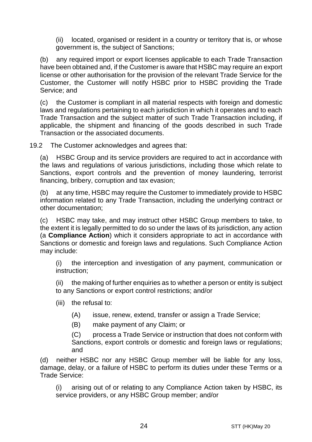(ii) located, organised or resident in a country or territory that is, or whose government is, the subject of Sanctions;

(b) any required import or export licenses applicable to each Trade Transaction have been obtained and, if the Customer is aware that HSBC may require an export license or other authorisation for the provision of the relevant Trade Service for the Customer, the Customer will notify HSBC prior to HSBC providing the Trade Service; and

(c) the Customer is compliant in all material respects with foreign and domestic laws and regulations pertaining to each jurisdiction in which it operates and to each Trade Transaction and the subject matter of such Trade Transaction including, if applicable, the shipment and financing of the goods described in such Trade Transaction or the associated documents.

19.2 The Customer acknowledges and agrees that:

(a) HSBC Group and its service providers are required to act in accordance with the laws and regulations of various jurisdictions, including those which relate to Sanctions, export controls and the prevention of money laundering, terrorist financing, bribery, corruption and tax evasion;

(b) at any time, HSBC may require the Customer to immediately provide to HSBC information related to any Trade Transaction, including the underlying contract or other documentation;

(c) HSBC may take, and may instruct other HSBC Group members to take, to the extent it is legally permitted to do so under the laws of its jurisdiction, any action (a **Compliance Action**) which it considers appropriate to act in accordance with Sanctions or domestic and foreign laws and regulations. Such Compliance Action may include:

(i) the interception and investigation of any payment, communication or instruction;

(ii) the making of further enquiries as to whether a person or entity is subject to any Sanctions or export control restrictions; and/or

- (iii) the refusal to:
	- (A) issue, renew, extend, transfer or assign a Trade Service;
	- (B) make payment of any Claim; or

(C) process a Trade Service or instruction that does not conform with Sanctions, export controls or domestic and foreign laws or regulations; and

(d) neither HSBC nor any HSBC Group member will be liable for any loss, damage, delay, or a failure of HSBC to perform its duties under these Terms or a Trade Service:

(i) arising out of or relating to any Compliance Action taken by HSBC, its service providers, or any HSBC Group member; and/or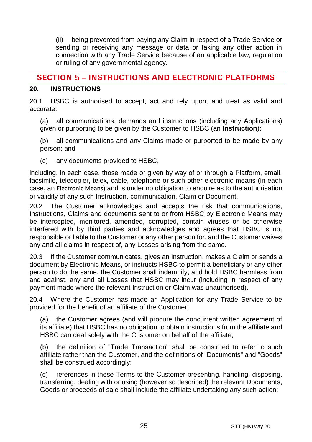(ii) being prevented from paying any Claim in respect of a Trade Service or sending or receiving any message or data or taking any other action in connection with any Trade Service because of an applicable law, regulation or ruling of any governmental agency.

# **SECTION 5 - INSTRUCTIONS AND ELECTRONIC PLATFORMS**

#### <span id="page-24-0"></span>**20. INSTRUCTIONS**

20.1 HSBC is authorised to accept, act and rely upon, and treat as valid and accurate:

(a) all communications, demands and instructions (including any Applications) given or purporting to be given by the Customer to HSBC (an **Instruction**);

(b) all communications and any Claims made or purported to be made by any person; and

(c) any documents provided to HSBC,

including, in each case, those made or given by way of or through a Platform, email, facsimile, telecopier, telex, cable, telephone or such other electronic means (in each case, an Electronic Means) and is under no obligation to enquire as to the authorisation or validity of any such Instruction, communication, Claim or Document.

20.2 The Customer acknowledges and accepts the risk that communications, Instructions, Claims and documents sent to or from HSBC by Electronic Means may be intercepted, monitored, amended, corrupted, contain viruses or be otherwise interfered with by third parties and acknowledges and agrees that HSBC is not responsible or liable to the Customer or any other person for, and the Customer waives any and all claims in respect of, any Losses arising from the same.

20.3 If the Customer communicates, gives an Instruction, makes a Claim or sends a document by Electronic Means, or instructs HSBC to permit a beneficiary or any other person to do the same, the Customer shall indemnify, and hold HSBC harmless from and against, any and all Losses that HSBC may incur (including in respect of any payment made where the relevant Instruction or Claim was unauthorised).

20.4 Where the Customer has made an Application for any Trade Service to be provided for the benefit of an affiliate of the Customer:

(a) the Customer agrees (and will procure the concurrent written agreement of its affiliate) that HSBC has no obligation to obtain instructions from the affiliate and HSBC can deal solely with the Customer on behalf of the affiliate;

(b) the definition of "Trade Transaction" shall be construed to refer to such affiliate rather than the Customer, and the definitions of "Documents" and "Goods" shall be construed accordingly;

(c) references in these Terms to the Customer presenting, handling, disposing, transferring, dealing with or using (however so described) the relevant Documents, Goods or proceeds of sale shall include the affiliate undertaking any such action;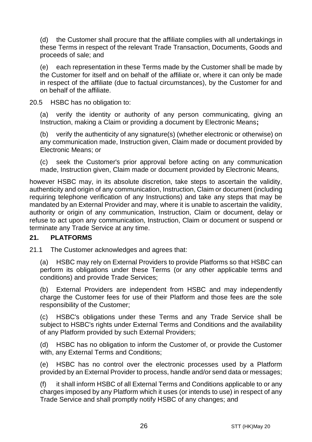(d) the Customer shall procure that the affiliate complies with all undertakings in these Terms in respect of the relevant Trade Transaction, Documents, Goods and proceeds of sale; and

(e) each representation in these Terms made by the Customer shall be made by the Customer for itself and on behalf of the affiliate or, where it can only be made in respect of the affiliate (due to factual circumstances), by the Customer for and on behalf of the affiliate.

20.5 HSBC has no obligation to:

(a) verify the identity or authority of any person communicating, giving an Instruction, making a Claim or providing a document by Electronic Means**;**

(b) verify the authenticity of any signature(s) (whether electronic or otherwise) on any communication made, Instruction given, Claim made or document provided by Electronic Means; or

(c) seek the Customer's prior approval before acting on any communication made, Instruction given, Claim made or document provided by Electronic Means,

however HSBC may, in its absolute discretion, take steps to ascertain the validity, authenticity and origin of any communication, Instruction, Claim or document (including requiring telephone verification of any Instructions) and take any steps that may be mandated by an External Provider and may, where it is unable to ascertain the validity, authority or origin of any communication, Instruction, Claim or document, delay or refuse to act upon any communication, Instruction, Claim or document or suspend or terminate any Trade Service at any time.

## **21. PLATFORMS**

21.1 The Customer acknowledges and agrees that:

(a) HSBC may rely on External Providers to provide Platforms so that HSBC can perform its obligations under these Terms (or any other applicable terms and conditions) and provide Trade Services;

(b) External Providers are independent from HSBC and may independently charge the Customer fees for use of their Platform and those fees are the sole responsibility of the Customer;

(c) HSBC's obligations under these Terms and any Trade Service shall be subiect to HSBC's rights under External Terms and Conditions and the availability of any Platform provided by such External Providers;

(d) HSBC has no obligation to inform the Customer of, or provide the Customer with, any External Terms and Conditions;

(e) HSBC has no control over the electronic processes used by a Platform provided by an External Provider to process, handle and/or send data or messages;

it shall inform HSBC of all External Terms and Conditions applicable to or any charges imposed by any Platform which it uses (or intends to use) in respect of any Trade Service and shall promptly notify HSBC of any changes; and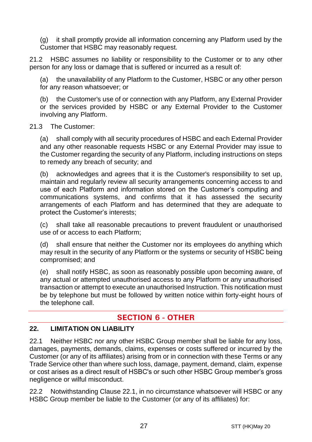(g) it shall promptly provide all information concerning any Platform used by the Customer that HSBC may reasonably request.

21.2 HSBC assumes no liability or responsibility to the Customer or to any other person for any loss or damage that is suffered or incurred as a result of:

the unavailability of any Platform to the Customer, HSBC or any other person for any reason whatsoever; or

(b) the Customer's use of or connection with any Platform, any External Provider or the services provided by HSBC or any External Provider to the Customer involving any Platform.

#### 21.3 The Customer:

(a) shall comply with all security procedures of HSBC and each External Provider and any other reasonable requests HSBC or any External Provider may issue to the Customer regarding the security of any Platform, including instructions on steps to remedy any breach of security; and

(b) acknowledges and agrees that it is the Customer's responsibility to set up, maintain and regularly review all security arrangements concerning access to and use of each Platform and information stored on the Customer's computing and communications systems, and confirms that it has assessed the security arrangements of each Platform and has determined that they are adequate to protect the Customer's interests;

(c) shall take all reasonable precautions to prevent fraudulent or unauthorised use of or access to each Platform;

(d) shall ensure that neither the Customer nor its employees do anything which may result in the security of any Platform or the systems or security of HSBC being compromised; and

(e) shall notify HSBC, as soon as reasonably possible upon becoming aware, of any actual or attempted unauthorised access to any Platform or any unauthorised transaction or attempt to execute an unauthorised Instruction. This notification must be by telephone but must be followed by written notice within forty-eight hours of the telephone call.

# **SECTION 6 - OTHER**

#### **22. LIMITATION ON LIABILITY**

<span id="page-26-0"></span>22.1 Neither HSBC nor any other HSBC Group member shall be liable for any loss, damages, payments, demands, claims, expenses or costs suffered or incurred by the Customer (or any of its affiliates) arising from or in connection with these Terms or any Trade Service other than where such loss, damage, payment, demand, claim, expense or cost arises as a direct result of HSBC's or such other HSBC Group member's gross negligence or wilful misconduct.

<span id="page-26-1"></span>22.2 Notwithstanding Clause [22.1,](#page-26-0) in no circumstance whatsoever will HSBC or any HSBC Group member be liable to the Customer (or any of its affiliates) for: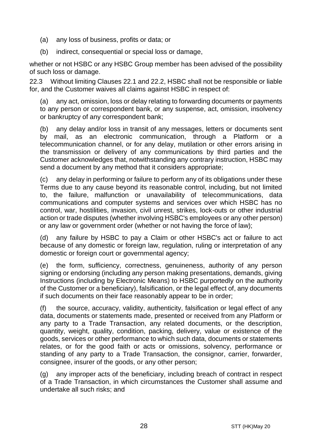- (a) any loss of business, profits or data; or
- (b) indirect, consequential or special loss or damage.

whether or not HSBC or any HSBC Group member has been advised of the possibility of such loss or damage.

22.3 Without limiting Clauses [22.1](#page-26-0) and [22.2,](#page-26-1) HSBC shall not be responsible or liable for, and the Customer waives all claims against HSBC in respect of:

(a) any act, omission, loss or delay relating to forwarding documents or payments to any person or correspondent bank, or any suspense, act, omission, insolvency or bankruptcy of any correspondent bank;

(b) any delay and/or loss in transit of any messages, letters or documents sent by mail, as an electronic communication, through a Platform or a telecommunication channel, or for any delay, mutilation or other errors arising in the transmission or delivery of any communications by third parties and the Customer acknowledges that, notwithstanding any contrary instruction, HSBC may send a document by any method that it considers appropriate;

(c) any delay in performing or failure to perform any of its obligations under these Terms due to any cause beyond its reasonable control, including, but not limited to, the failure, malfunction or unavailability of telecommunications, data communications and computer systems and services over which HSBC has no control, war, hostilities, invasion, civil unrest, strikes, lock-outs or other industrial action or trade disputes (whether involving HSBC's employees or any other person) or any law or government order (whether or not having the force of law);

(d) any failure by HSBC to pay a Claim or other HSBC's act or failure to act because of any domestic or foreign law, regulation, ruling or interpretation of any domestic or foreign court or governmental agency:

(e) the form, sufficiency, correctness, genuineness, authority of any person signing or endorsing (including any person making presentations, demands, giving Instructions (including by Electronic Means) to HSBC purportedly on the authority of the Customer or a beneficiary), falsification, or the legal effect of, any documents if such documents on their face reasonably appear to be in order;

(f) the source, accuracy, validity, authenticity, falsification or legal effect of any data, documents or statements made, presented or received from any Platform or any party to a Trade Transaction, any related documents, or the description, quantity, weight, quality, condition, packing, delivery, value or existence of the goods, services or other performance to which such data, documents or statements relates, or for the good faith or acts or omissions, solvency, performance or standing of any party to a Trade Transaction, the consignor, carrier, forwarder, consignee, insurer of the goods, or any other person;

(g) any improper acts of the beneficiary, including breach of contract in respect of a Trade Transaction, in which circumstances the Customer shall assume and undertake all such risks; and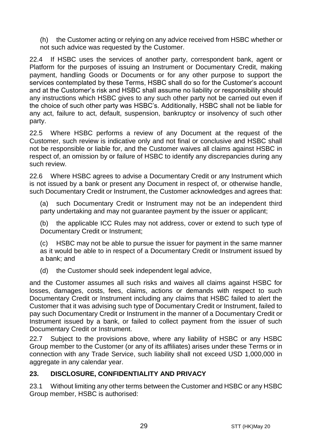(h) the Customer acting or relying on any advice received from HSBC whether or not such advice was requested by the Customer.

22.4 If HSBC uses the services of another party, correspondent bank, agent or Platform for the purposes of issuing an Instrument or Documentary Credit, making payment, handling Goods or Documents or for any other purpose to support the services contemplated by these Terms, HSBC shall do so for the Customer's account and at the Customer's risk and HSBC shall assume no liability or responsibility should any instructions which HSBC gives to any such other party not be carried out even if the choice of such other party was HSBC's. Additionally, HSBC shall not be liable for any act, failure to act, default, suspension, bankruptcy or insolvency of such other party.

22.5 Where HSBC performs a review of any Document at the request of the Customer, such review is indicative only and not final or conclusive and HSBC shall not be responsible or liable for, and the Customer waives all claims against HSBC in respect of, an omission by or failure of HSBC to identify any discrepancies during any such review.

22.6 Where HSBC agrees to advise a Documentary Credit or any Instrument which is not issued by a bank or present any Document in respect of, or otherwise handle, such Documentary Credit or Instrument, the Customer acknowledges and agrees that:

(a) such Documentary Credit or Instrument may not be an independent third party undertaking and may not guarantee payment by the issuer or applicant;

(b) the applicable ICC Rules may not address, cover or extend to such type of Documentary Credit or Instrument;

(c) HSBC may not be able to pursue the issuer for payment in the same manner as it would be able to in respect of a Documentary Credit or Instrument issued by a bank; and

(d) the Customer should seek independent legal advice,

and the Customer assumes all such risks and waives all claims against HSBC for losses, damages, costs, fees, claims, actions or demands with respect to such Documentary Credit or Instrument including any claims that HSBC failed to alert the Customer that it was advising such type of Documentary Credit or Instrument, failed to pay such Documentary Credit or Instrument in the manner of a Documentary Credit or Instrument issued by a bank, or failed to collect payment from the issuer of such Documentary Credit or Instrument.

22.7 Subject to the provisions above, where any liability of HSBC or any HSBC Group member to the Customer (or any of its affiliates) arises under these Terms or in connection with any Trade Service, such liability shall not exceed USD 1,000,000 in aggregate in any calendar year.

## <span id="page-28-0"></span>**23. DISCLOSURE, CONFIDENTIALITY AND PRIVACY**

23.1 Without limiting any other terms between the Customer and HSBC or any HSBC Group member, HSBC is authorised: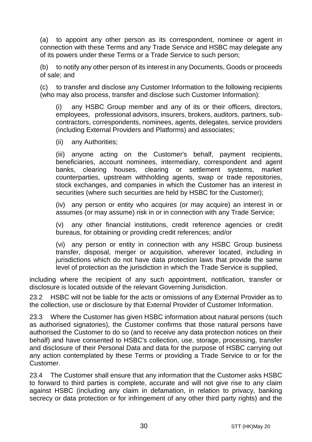<span id="page-29-0"></span>(a) to appoint any other person as its correspondent, nominee or agent in connection with these Terms and any Trade Service and HSBC may delegate any of its powers under these Terms or a Trade Service to such person;

(b) to notify any other person of its interest in any Documents, Goods or proceeds of sale; and

(c) to transfer and disclose any Customer Information to the following recipients (who may also process, transfer and disclose such Customer Information):

(i) any HSBC Group member and any of its or their officers, directors, employees, professional advisors, insurers, brokers, auditors, partners, subcontractors, correspondents, nominees, agents, delegates, service providers (including External Providers and Platforms) and associates;

(ii) any Authorities;

(iii) anyone acting on the Customer's behalf, payment recipients, beneficiaries, account nominees, intermediary, correspondent and agent banks, clearing houses, clearing or settlement systems, market counterparties, upstream withholding agents, swap or trade repositories, stock exchanges, and companies in which the Customer has an interest in securities (where such securities are held by HSBC for the Customer);

(iv) any person or entity who acquires (or may acquire) an interest in or assumes (or may assume) risk in or in connection with any Trade Service;

(v) any other financial institutions, credit reference agencies or credit bureaus, for obtaining or providing credit references; and/or

(vi) any person or entity in connection with any HSBC Group business transfer, disposal, merger or acquisition, wherever located, including in jurisdictions which do not have data protection laws that provide the same level of protection as the jurisdiction in which the Trade Service is supplied,

including where the recipient of any such appointment, notification, transfer or disclosure is located outside of the relevant Governing Jurisdiction.

23.2 HSBC will not be liable for the acts or omissions of any External Provider as to the collection, use or disclosure by that External Provider of Customer Information.

23.3 Where the Customer has given HSBC information about natural persons (such as authorised signatories), the Customer confirms that those natural persons have authorised the Customer to do so (and to receive any data protection notices on their behalf) and have consented to HSBC's collection, use, storage, processing, transfer and disclosure of their Personal Data and data for the purpose of HSBC carrying out any action contemplated by these Terms or providing a Trade Service to or for the Customer.

23.4 The Customer shall ensure that any information that the Customer asks HSBC to forward to third parties is complete, accurate and will not give rise to any claim against HSBC (including any claim in defamation, in relation to privacy, banking secrecy or data protection or for infringement of any other third party rights) and the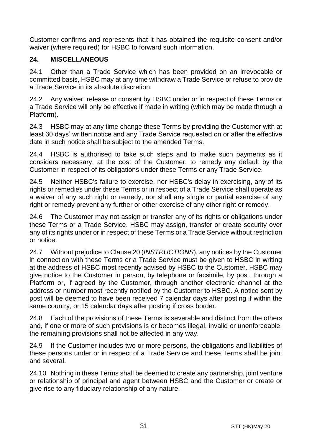Customer confirms and represents that it has obtained the requisite consent and/or waiver (where required) for HSBC to forward such information.

## **24. MISCELLANEOUS**

24.1 Other than a Trade Service which has been provided on an irrevocable or committed basis, HSBC may at any time withdraw a Trade Service or refuse to provide a Trade Service in its absolute discretion.

24.2 Any waiver, release or consent by HSBC under or in respect of these Terms or a Trade Service will only be effective if made in writing (which may be made through a Platform).

24.3 HSBC may at any time change these Terms by providing the Customer with at least 30 days' written notice and any Trade Service requested on or after the effective date in such notice shall be subject to the amended Terms.

24.4 HSBC is authorised to take such steps and to make such payments as it considers necessary, at the cost of the Customer, to remedy any default by the Customer in respect of its obligations under these Terms or any Trade Service.

24.5 Neither HSBC's failure to exercise, nor HSBC's delay in exercising, any of its rights or remedies under these Terms or in respect of a Trade Service shall operate as a waiver of any such right or remedy, nor shall any single or partial exercise of any right or remedy prevent any further or other exercise of any other right or remedy.

24.6 The Customer may not assign or transfer any of its rights or obligations under these Terms or a Trade Service. HSBC may assign, transfer or create security over any of its rights under or in respect of these Terms or a Trade Service without restriction or notice.

24.7 Without prejudice to Claus[e 20](#page-24-0) (*[INSTRUCTIONS](#page-24-0)*), any notices by the Customer in connection with these Terms or a Trade Service must be given to HSBC in writing at the address of HSBC most recently advised by HSBC to the Customer. HSBC may give notice to the Customer in person, by telephone or facsimile, by post, through a Platform or, if agreed by the Customer, through another electronic channel at the address or number most recently notified by the Customer to HSBC. A notice sent by post will be deemed to have been received 7 calendar days after posting if within the same country, or 15 calendar days after posting if cross border.

24.8 Each of the provisions of these Terms is severable and distinct from the others and, if one or more of such provisions is or becomes illegal, invalid or unenforceable, the remaining provisions shall not be affected in any way.

24.9 If the Customer includes two or more persons, the obligations and liabilities of these persons under or in respect of a Trade Service and these Terms shall be joint and several.

24.10 Nothing in these Terms shall be deemed to create any partnership, joint venture or relationship of principal and agent between HSBC and the Customer or create or give rise to any fiduciary relationship of any nature.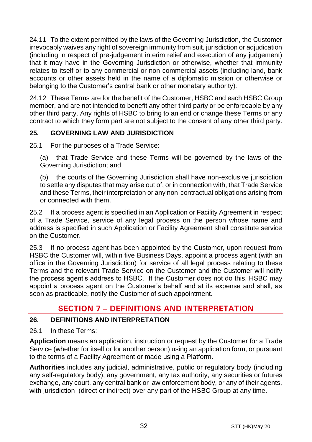24.11 To the extent permitted by the laws of the Governing Jurisdiction, the Customer irrevocably waives any right of sovereign immunity from suit, jurisdiction or adjudication (including in respect of pre-judgement interim relief and execution of any judgement) that it may have in the Governing Jurisdiction or otherwise, whether that immunity relates to itself or to any commercial or non-commercial assets (including land, bank accounts or other assets held in the name of a diplomatic mission or otherwise or belonging to the Customer's central bank or other monetary authority).

24.12 These Terms are for the benefit of the Customer, HSBC and each HSBC Group member, and are not intended to benefit any other third party or be enforceable by any other third party. Any rights of HSBC to bring to an end or change these Terms or any contract to which they form part are not subject to the consent of any other third party.

## **25. GOVERNING LAW AND JURISDICTION**

25.1 For the purposes of a Trade Service:

(a) that Trade Service and these Terms will be governed by the laws of the Governing Jurisdiction; and

(b) the courts of the Governing Jurisdiction shall have non-exclusive jurisdiction to settle any disputes that may arise out of, or in connection with, that Trade Service and these Terms, their interpretation or any non-contractual obligations arising from or connected with them.

25.2 If a process agent is specified in an Application or Facility Agreement in respect of a Trade Service, service of any legal process on the person whose name and address is specified in such Application or Facility Agreement shall constitute service on the Customer.

25.3 If no process agent has been appointed by the Customer, upon request from HSBC the Customer will, within five Business Days, appoint a process agent (with an office in the Governing Jurisdiction) for service of all legal process relating to these Terms and the relevant Trade Service on the Customer and the Customer will notify the process agent's address to HSBC. If the Customer does not do this, HSBC may appoint a process agent on the Customer's behalf and at its expense and shall, as soon as practicable, notify the Customer of such appointment.

# **SECTION 7 - DEFINITIONS AND INTERPRETATION**

## **26. DEFINITIONS AND INTERPRETATION**

26.1 In these Terms:

**Application** means an application, instruction or request by the Customer for a Trade Service (whether for itself or for another person) using an application form, or pursuant to the terms of a Facility Agreement or made using a Platform.

**Authorities** includes any judicial, administrative, public or regulatory body (including any self-regulatory body), any government, any tax authority, any securities or futures exchange, any court, any central bank or law enforcement body, or any of their agents, with jurisdiction (direct or indirect) over any part of the HSBC Group at any time.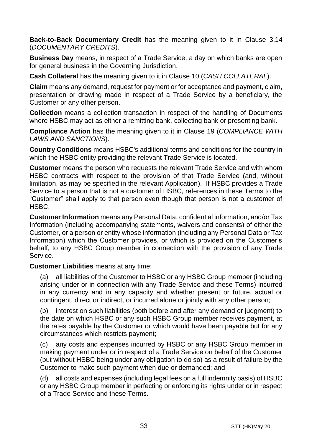**Back-to-Back Documentary Credit** has the meaning given to it in Clause [3.14](#page-5-0) (*[DOCUMENTARY CREDITS](#page-3-0)*).

**Business Day** means, in respect of a Trade Service, a day on which banks are open for general business in the Governing Jurisdiction.

**Cash Collateral** has the meaning given to it in Clause [10](#page-14-1) (*[CASH COLLATERAL](#page-14-1)*).

**Claim** means any demand, request for payment or for acceptance and payment, claim, presentation or drawing made in respect of a Trade Service by a beneficiary, the Customer or any other person.

**Collection** means a collection transaction in respect of the handling of Documents where HSBC may act as either a remitting bank, collecting bank or presenting bank.

**Compliance Action** has the meaning given to it in Clause [19](#page-22-0) (*[COMPLIANCE WITH](#page-22-0)  [LAWS AND SANCTIONS](#page-22-0)*).

**Country Conditions** means HSBC's additional terms and conditions for the country in which the HSBC entity providing the relevant Trade Service is located.

**Customer** means the person who requests the relevant Trade Service and with whom HSBC contracts with respect to the provision of that Trade Service (and, without limitation, as may be specified in the relevant Application). If HSBC provides a Trade Service to a person that is not a customer of HSBC, references in these Terms to the "Customer" shall apply to that person even though that person is not a customer of HSBC.

**Customer Information** means any Personal Data, confidential information, and/or Tax Information (including accompanying statements, waivers and consents) of either the Customer, or a person or entity whose information (including any Personal Data or Tax Information) which the Customer provides, or which is provided on the Customer's behalf, to any HSBC Group member in connection with the provision of any Trade Service.

**Customer Liabilities** means at any time:

(a) all liabilities of the Customer to HSBC or any HSBC Group member (including arising under or in connection with any Trade Service and these Terms) incurred in any currency and in any capacity and whether present or future, actual or contingent, direct or indirect, or incurred alone or jointly with any other person;

(b) interest on such liabilities (both before and after any demand or judgment) to the date on which HSBC or any such HSBC Group member receives payment, at the rates payable by the Customer or which would have been payable but for any circumstances which restricts payment;

(c) any costs and expenses incurred by HSBC or any HSBC Group member in making payment under or in respect of a Trade Service on behalf of the Customer (but without HSBC being under any obligation to do so) as a result of failure by the Customer to make such payment when due or demanded; and

(d) all costs and expenses (including legal fees on a full indemnity basis) of HSBC or any HSBC Group member in perfecting or enforcing its rights under or in respect of a Trade Service and these Terms.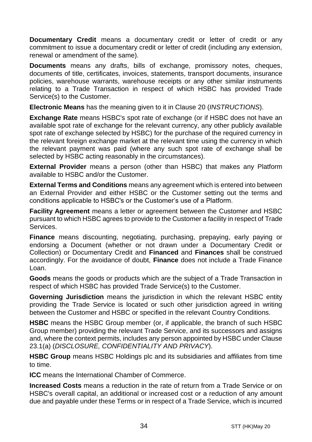**Documentary Credit** means a documentary credit or letter of credit or any commitment to issue a documentary credit or letter of credit (including any extension, renewal or amendment of the same).

**Documents** means any drafts, bills of exchange, promissory notes, cheques, documents of title, certificates, invoices, statements, transport documents, insurance policies, warehouse warrants, warehouse receipts or any other similar instruments relating to a Trade Transaction in respect of which HSBC has provided Trade Service(s) to the Customer.

**Electronic Means** has the meaning given to it in Clause [20](#page-24-0) (*[INSTRUCTIONS](#page-24-0)*).

**Exchange Rate** means HSBC's spot rate of exchange (or if HSBC does not have an available spot rate of exchange for the relevant currency, any other publicly available spot rate of exchange selected by HSBC) for the purchase of the required currency in the relevant foreign exchange market at the relevant time using the currency in which the relevant payment was paid (where any such spot rate of exchange shall be selected by HSBC acting reasonably in the circumstances).

**External Provider** means a person (other than HSBC) that makes any Platform available to HSBC and/or the Customer.

**External Terms and Conditions** means any agreement which is entered into between an External Provider and either HSBC or the Customer setting out the terms and conditions applicable to HSBC's or the Customer's use of a Platform.

**Facility Agreement** means a letter or agreement between the Customer and HSBC pursuant to which HSBC agrees to provide to the Customer a facility in respect of Trade Services.

**Finance** means discounting, negotiating, purchasing, prepaying, early paying or endorsing a Document (whether or not drawn under a Documentary Credit or Collection) or Documentary Credit and **Financed** and **Finances** shall be construed accordingly. For the avoidance of doubt, **Finance** does not include a Trade Finance Loan.

**Goods** means the goods or products which are the subject of a Trade Transaction in respect of which HSBC has provided Trade Service(s) to the Customer.

**Governing Jurisdiction** means the jurisdiction in which the relevant HSBC entity providing the Trade Service is located or such other jurisdiction agreed in writing between the Customer and HSBC or specified in the relevant Country Conditions.

**HSBC** means the HSBC Group member (or, if applicable, the branch of such HSBC Group member) providing the relevant Trade Service, and its successors and assigns and, where the context permits, includes any person appointed by HSBC under Clause [23.1\(a\)](#page-29-0) (*[DISCLOSURE, CONFIDENTIALITY AND PRIVACY](#page-28-0)*).

**HSBC Group** means HSBC Holdings plc and its subsidiaries and affiliates from time to time.

**ICC** means the International Chamber of Commerce.

**Increased Costs** means a reduction in the rate of return from a Trade Service or on HSBC's overall capital, an additional or increased cost or a reduction of any amount due and payable under these Terms or in respect of a Trade Service, which is incurred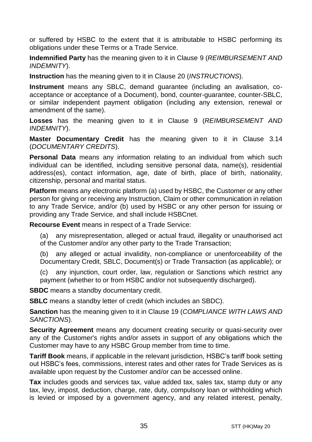or suffered by HSBC to the extent that it is attributable to HSBC performing its obligations under these Terms or a Trade Service.

**Indemnified Party** has the meaning given to it in Claus[e 9](#page-13-0) (*[REIMBURSEMENT AND](#page-13-0)  [INDEMNITY](#page-13-0)*).

**Instruction** has the meaning given to it in Clause [20](#page-24-0) (*[INSTRUCTIONS](#page-24-0)*).

**Instrument** means any SBLC, demand guarantee (including an avalisation, coacceptance or acceptance of a Document), bond, counter-guarantee, counter-SBLC, or similar independent payment obligation (including any extension, renewal or amendment of the same).

**Losses** has the meaning given to it in Clause [9](#page-13-0) (*[REIMBURSEMENT AND](#page-13-0)  [INDEMNITY](#page-13-0)*).

**Master Documentary Credit** has the meaning given to it in Clause [3.14](#page-5-0) (*[DOCUMENTARY CREDITS](#page-3-0)*).

**Personal Data** means any information relating to an individual from which such individual can be identified, including sensitive personal data, name(s), residential address(es), contact information, age, date of birth, place of birth, nationality, citizenship, personal and marital status.

**Platform** means any electronic platform (a) used by HSBC, the Customer or any other person for giving or receiving any Instruction, Claim or other communication in relation to any Trade Service, and/or (b) used by HSBC or any other person for issuing or providing any Trade Service, and shall include HSBCnet.

**Recourse Event** means in respect of a Trade Service:

(a) any misrepresentation, alleged or actual fraud, illegality or unauthorised act of the Customer and/or any other party to the Trade Transaction;

(b) any alleged or actual invalidity, non-compliance or unenforceability of the Documentary Credit, SBLC, Document(s) or Trade Transaction (as applicable); or

(c) any injunction, court order, law, regulation or Sanctions which restrict any payment (whether to or from HSBC and/or not subsequently discharged).

**SBDC** means a standby documentary credit.

**SBLC** means a standby letter of credit (which includes an SBDC).

**Sanction** has the meaning given to it in Clause [19](#page-22-0) (*[COMPLIANCE WITH LAWS AND](#page-22-0)  [SANCTIONS](#page-22-0)*).

**Security Agreement** means any document creating security or quasi-security over any of the Customer's rights and/or assets in support of any obligations which the Customer may have to any HSBC Group member from time to time.

**Tariff Book** means, if applicable in the relevant jurisdiction, HSBC's tariff book setting out HSBC's fees, commissions, interest rates and other rates for Trade Services as is available upon request by the Customer and/or can be accessed online.

**Tax** includes goods and services tax, value added tax, sales tax, stamp duty or any tax, levy, impost, deduction, charge, rate, duty, compulsory loan or withholding which is levied or imposed by a government agency, and any related interest, penalty,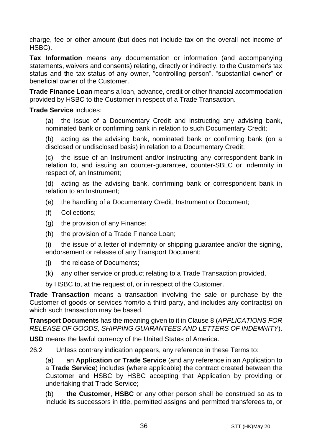charge, fee or other amount (but does not include tax on the overall net income of HSBC).

**Tax Information** means any documentation or information (and accompanying statements, waivers and consents) relating, directly or indirectly, to the Customer's tax status and the tax status of any owner, "controlling person", "substantial owner" or beneficial owner of the Customer.

**Trade Finance Loan** means a loan, advance, credit or other financial accommodation provided by HSBC to the Customer in respect of a Trade Transaction.

#### **Trade Service** includes:

(a) the issue of a Documentary Credit and instructing any advising bank, nominated bank or confirming bank in relation to such Documentary Credit;

(b) acting as the advising bank, nominated bank or confirming bank (on a disclosed or undisclosed basis) in relation to a Documentary Credit;

(c) the issue of an Instrument and/or instructing any correspondent bank in relation to, and issuing an counter-guarantee, counter-SBLC or indemnity in respect of, an Instrument;

(d) acting as the advising bank, confirming bank or correspondent bank in relation to an Instrument;

- (e) the handling of a Documentary Credit, Instrument or Document;
- (f) Collections;
- (g) the provision of any Finance;
- (h) the provision of a Trade Finance Loan;

(i) the issue of a letter of indemnity or shipping guarantee and/or the signing, endorsement or release of any Transport Document;

- (j) the release of Documents;
- (k) any other service or product relating to a Trade Transaction provided,

by HSBC to, at the request of, or in respect of the Customer.

**Trade Transaction** means a transaction involving the sale or purchase by the Customer of goods or services from/to a third party, and includes any contract(s) on which such transaction may be based.

**Transport Documents** has the meaning given to it in Clause [8](#page-12-0) (*[APPLICATIONS FOR](#page-12-0)  [RELEASE OF GOODS, SHIPPING GUARANTEES AND](#page-12-0) LETTERS OF INDEMNITY*).

**USD** means the lawful currency of the United States of America.

26.2 Unless contrary indication appears, any reference in these Terms to:

(a) an **Application or Trade Service** (and any reference in an Application to a **Trade Service**) includes (where applicable) the contract created between the Customer and HSBC by HSBC accepting that Application by providing or undertaking that Trade Service;

(b) **the Customer**, **HSBC** or any other person shall be construed so as to include its successors in title, permitted assigns and permitted transferees to, or